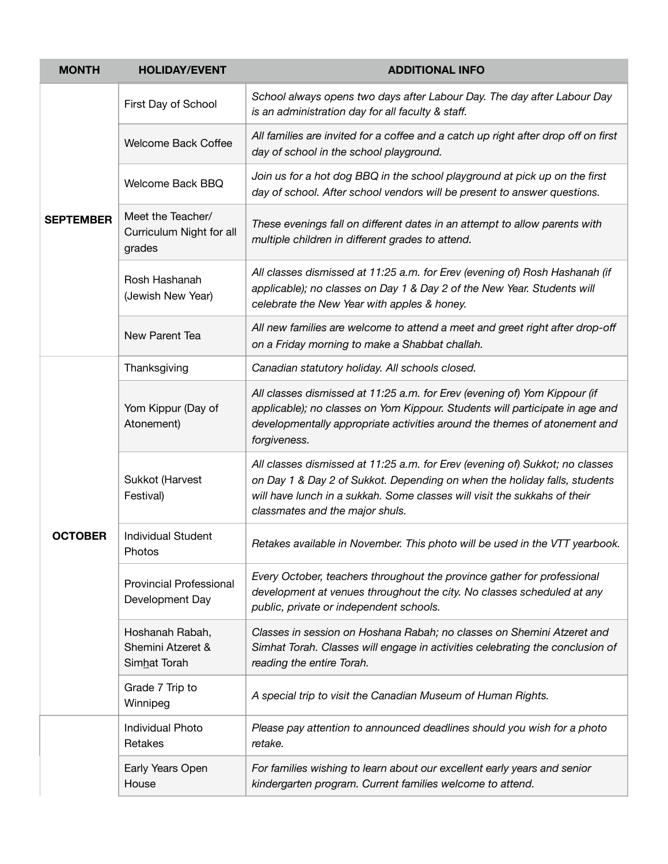| <b>MONTH</b>     | <b>HOLIDAY/EVENT</b>                                    | <b>ADDITIONAL INFO</b>                                                                                                                                                                                                                                                    |
|------------------|---------------------------------------------------------|---------------------------------------------------------------------------------------------------------------------------------------------------------------------------------------------------------------------------------------------------------------------------|
| <b>SEPTEMBER</b> | First Day of School                                     | School always opens two days after Labour Day. The day after Labour Day<br>is an administration day for all faculty & staff.                                                                                                                                              |
|                  | Welcome Back Coffee                                     | All families are invited for a coffee and a catch up right after drop off on first<br>day of school in the school playground.                                                                                                                                             |
|                  | Welcome Back BBQ                                        | Join us for a hot dog BBQ in the school playground at pick up on the first<br>day of school. After school vendors will be present to answer questions.                                                                                                                    |
|                  | Meet the Teacher/<br>Curriculum Night for all<br>grades | These evenings fall on different dates in an attempt to allow parents with<br>multiple children in different grades to attend.                                                                                                                                            |
|                  | Rosh Hashanah<br>(Jewish New Year)                      | All classes dismissed at 11:25 a.m. for Erev (evening of) Rosh Hashanah (if<br>applicable); no classes on Day 1 & Day 2 of the New Year. Students will<br>celebrate the New Year with apples & honey.                                                                     |
|                  | New Parent Tea                                          | All new families are welcome to attend a meet and greet right after drop-off<br>on a Friday morning to make a Shabbat challah.                                                                                                                                            |
|                  | Thanksgiving                                            | Canadian statutory holiday. All schools closed.                                                                                                                                                                                                                           |
| <b>OCTOBER</b>   | Yom Kippur (Day of<br>Atonement)                        | All classes dismissed at 11:25 a.m. for Erev (evening of) Yom Kippour (if<br>applicable); no classes on Yom Kippour. Students will participate in age and<br>developmentally appropriate activities around the themes of atonement and<br>forgiveness.                    |
|                  | Sukkot (Harvest<br>Festival)                            | All classes dismissed at 11:25 a.m. for Erev (evening of) Sukkot; no classes<br>on Day 1 & Day 2 of Sukkot. Depending on when the holiday falls, students<br>will have lunch in a sukkah. Some classes will visit the sukkahs of their<br>classmates and the major shuls. |
|                  | <b>Individual Student</b><br>Photos                     | Retakes available in November. This photo will be used in the VTT yearbook.                                                                                                                                                                                               |
|                  | <b>Provincial Professional</b><br>Development Day       | Every October, teachers throughout the province gather for professional<br>development at venues throughout the city. No classes scheduled at any<br>public, private or independent schools.                                                                              |
|                  | Hoshanah Rabah,<br>Shemini Atzeret &<br>Simhat Torah    | Classes in session on Hoshana Rabah; no classes on Shemini Atzeret and<br>Simhat Torah. Classes will engage in activities celebrating the conclusion of<br>reading the entire Torah.                                                                                      |
|                  | Grade 7 Trip to<br>Winnipeg                             | A special trip to visit the Canadian Museum of Human Rights.                                                                                                                                                                                                              |
|                  | <b>Individual Photo</b><br>Retakes                      | Please pay attention to announced deadlines should you wish for a photo<br>retake.                                                                                                                                                                                        |
|                  | Early Years Open<br>House                               | For families wishing to learn about our excellent early years and senior<br>kindergarten program. Current families welcome to attend.                                                                                                                                     |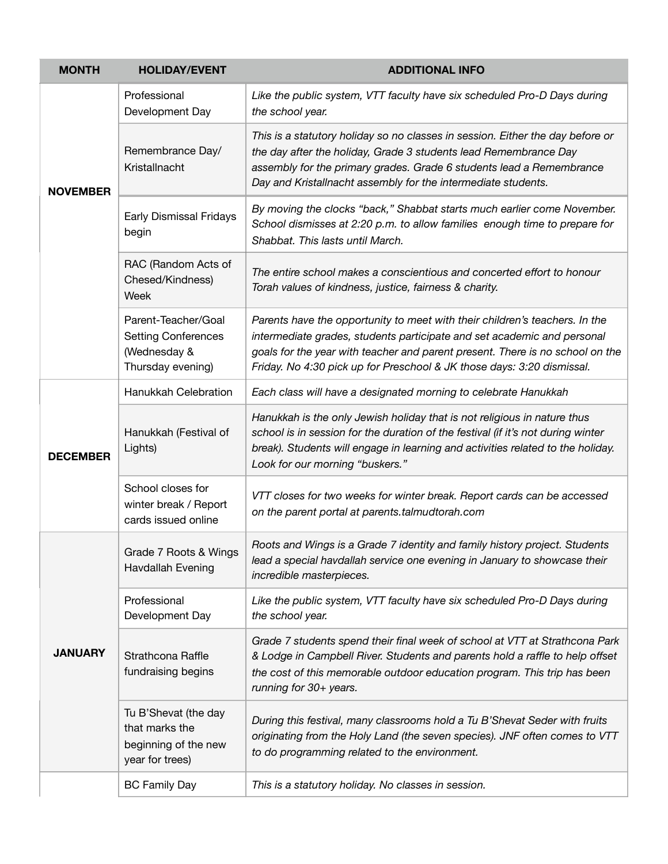| <b>MONTH</b>    | <b>HOLIDAY/EVENT</b>                                                                   | <b>ADDITIONAL INFO</b>                                                                                                                                                                                                                                                                                            |
|-----------------|----------------------------------------------------------------------------------------|-------------------------------------------------------------------------------------------------------------------------------------------------------------------------------------------------------------------------------------------------------------------------------------------------------------------|
| <b>NOVEMBER</b> | Professional<br>Development Day                                                        | Like the public system, VTT faculty have six scheduled Pro-D Days during<br>the school year.                                                                                                                                                                                                                      |
|                 | Remembrance Day/<br>Kristallnacht                                                      | This is a statutory holiday so no classes in session. Either the day before or<br>the day after the holiday, Grade 3 students lead Remembrance Day<br>assembly for the primary grades. Grade 6 students lead a Remembrance<br>Day and Kristallnacht assembly for the intermediate students.                       |
|                 | Early Dismissal Fridays<br>begin                                                       | By moving the clocks "back," Shabbat starts much earlier come November.<br>School dismisses at 2:20 p.m. to allow families enough time to prepare for<br>Shabbat. This lasts until March.                                                                                                                         |
|                 | RAC (Random Acts of<br>Chesed/Kindness)<br>Week                                        | The entire school makes a conscientious and concerted effort to honour<br>Torah values of kindness, justice, fairness & charity.                                                                                                                                                                                  |
|                 | Parent-Teacher/Goal<br><b>Setting Conferences</b><br>(Wednesday &<br>Thursday evening) | Parents have the opportunity to meet with their children's teachers. In the<br>intermediate grades, students participate and set academic and personal<br>goals for the year with teacher and parent present. There is no school on the<br>Friday. No 4:30 pick up for Preschool & JK those days: 3:20 dismissal. |
|                 | Hanukkah Celebration                                                                   | Each class will have a designated morning to celebrate Hanukkah                                                                                                                                                                                                                                                   |
| <b>DECEMBER</b> | Hanukkah (Festival of<br>Lights)                                                       | Hanukkah is the only Jewish holiday that is not religious in nature thus<br>school is in session for the duration of the festival (if it's not during winter<br>break). Students will engage in learning and activities related to the holiday.<br>Look for our morning "buskers."                                |
|                 | School closes for<br>winter break / Report<br>cards issued online                      | VTT closes for two weeks for winter break. Report cards can be accessed<br>on the parent portal at parents.talmudtorah.com                                                                                                                                                                                        |
| <b>JANUARY</b>  | Grade 7 Roots & Wings<br>Havdallah Evening                                             | Roots and Wings is a Grade 7 identity and family history project. Students<br>lead a special havdallah service one evening in January to showcase their<br>incredible masterpieces.                                                                                                                               |
|                 | Professional<br>Development Day                                                        | Like the public system, VTT faculty have six scheduled Pro-D Days during<br>the school year.                                                                                                                                                                                                                      |
|                 | Strathcona Raffle<br>fundraising begins                                                | Grade 7 students spend their final week of school at VTT at Strathcona Park<br>& Lodge in Campbell River. Students and parents hold a raffle to help offset<br>the cost of this memorable outdoor education program. This trip has been<br>running for 30+ years.                                                 |
|                 | Tu B'Shevat (the day<br>that marks the<br>beginning of the new<br>year for trees)      | During this festival, many classrooms hold a Tu B'Shevat Seder with fruits<br>originating from the Holy Land (the seven species). JNF often comes to VTT<br>to do programming related to the environment.                                                                                                         |
|                 | <b>BC Family Day</b>                                                                   | This is a statutory holiday. No classes in session.                                                                                                                                                                                                                                                               |
|                 |                                                                                        |                                                                                                                                                                                                                                                                                                                   |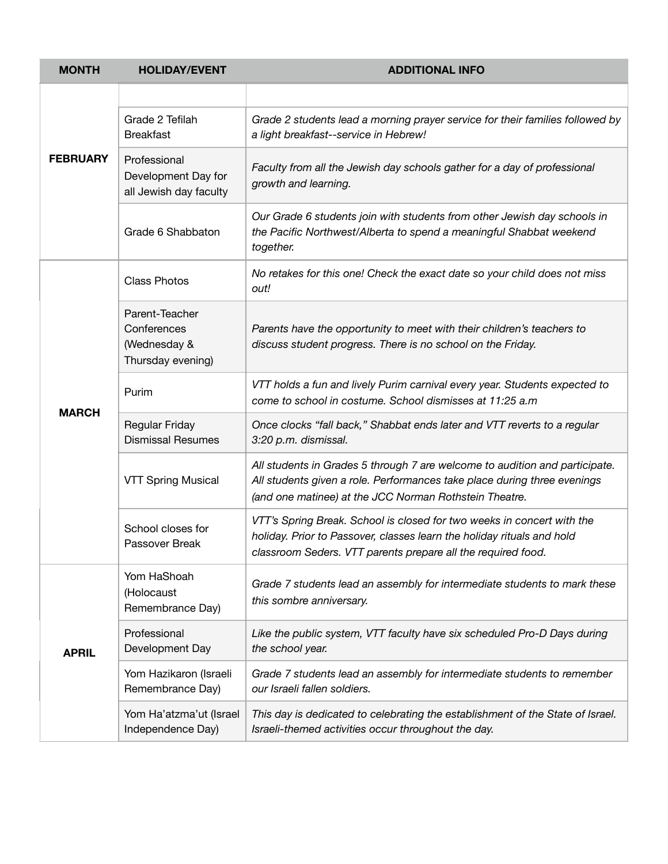| <b>MONTH</b>    | <b>HOLIDAY/EVENT</b>                                               | <b>ADDITIONAL INFO</b>                                                                                                                                                                                            |
|-----------------|--------------------------------------------------------------------|-------------------------------------------------------------------------------------------------------------------------------------------------------------------------------------------------------------------|
| <b>FEBRUARY</b> |                                                                    |                                                                                                                                                                                                                   |
|                 | Grade 2 Tefilah<br><b>Breakfast</b>                                | Grade 2 students lead a morning prayer service for their families followed by<br>a light breakfast--service in Hebrew!                                                                                            |
|                 | Professional<br>Development Day for<br>all Jewish day faculty      | Faculty from all the Jewish day schools gather for a day of professional<br>growth and learning.                                                                                                                  |
|                 | Grade 6 Shabbaton                                                  | Our Grade 6 students join with students from other Jewish day schools in<br>the Pacific Northwest/Alberta to spend a meaningful Shabbat weekend<br>together.                                                      |
| <b>MARCH</b>    | <b>Class Photos</b>                                                | No retakes for this one! Check the exact date so your child does not miss<br>out!                                                                                                                                 |
|                 | Parent-Teacher<br>Conferences<br>(Wednesday &<br>Thursday evening) | Parents have the opportunity to meet with their children's teachers to<br>discuss student progress. There is no school on the Friday.                                                                             |
|                 | Purim                                                              | VTT holds a fun and lively Purim carnival every year. Students expected to<br>come to school in costume. School dismisses at 11:25 a.m                                                                            |
|                 | Regular Friday<br><b>Dismissal Resumes</b>                         | Once clocks "fall back," Shabbat ends later and VTT reverts to a regular<br>3:20 p.m. dismissal.                                                                                                                  |
|                 | <b>VTT Spring Musical</b>                                          | All students in Grades 5 through 7 are welcome to audition and participate.<br>All students given a role. Performances take place during three evenings<br>(and one matinee) at the JCC Norman Rothstein Theatre. |
|                 | School closes for<br>Passover Break                                | VTT's Spring Break. School is closed for two weeks in concert with the<br>holiday. Prior to Passover, classes learn the holiday rituals and hold<br>classroom Seders. VTT parents prepare all the required food.  |
| <b>APRIL</b>    | Yom HaShoah<br>(Holocaust<br>Remembrance Day)                      | Grade 7 students lead an assembly for intermediate students to mark these<br>this sombre anniversary.                                                                                                             |
|                 | Professional<br>Development Day                                    | Like the public system, VTT faculty have six scheduled Pro-D Days during<br>the school year.                                                                                                                      |
|                 | Yom Hazikaron (Israeli<br>Remembrance Day)                         | Grade 7 students lead an assembly for intermediate students to remember<br>our Israeli fallen soldiers.                                                                                                           |
|                 | Yom Ha'atzma'ut (Israel<br>Independence Day)                       | This day is dedicated to celebrating the establishment of the State of Israel.<br>Israeli-themed activities occur throughout the day.                                                                             |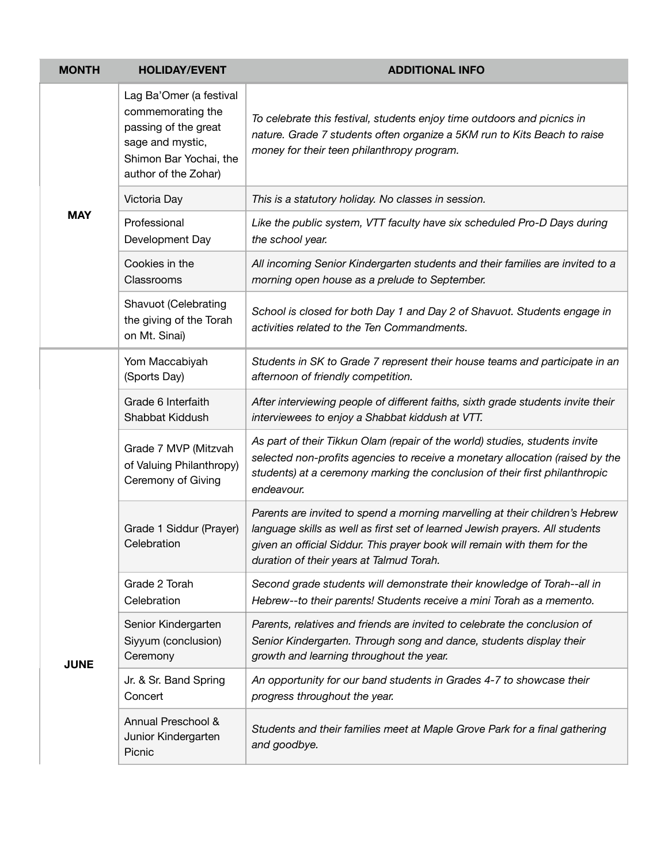| <b>MONTH</b> | <b>HOLIDAY/EVENT</b>                                                                                                                       | <b>ADDITIONAL INFO</b>                                                                                                                                                                                                                                                               |
|--------------|--------------------------------------------------------------------------------------------------------------------------------------------|--------------------------------------------------------------------------------------------------------------------------------------------------------------------------------------------------------------------------------------------------------------------------------------|
| <b>MAY</b>   | Lag Ba'Omer (a festival<br>commemorating the<br>passing of the great<br>sage and mystic,<br>Shimon Bar Yochai, the<br>author of the Zohar) | To celebrate this festival, students enjoy time outdoors and picnics in<br>nature. Grade 7 students often organize a 5KM run to Kits Beach to raise<br>money for their teen philanthropy program.                                                                                    |
|              | Victoria Day                                                                                                                               | This is a statutory holiday. No classes in session.                                                                                                                                                                                                                                  |
|              | Professional<br>Development Day                                                                                                            | Like the public system, VTT faculty have six scheduled Pro-D Days during<br>the school year.                                                                                                                                                                                         |
|              | Cookies in the<br>Classrooms                                                                                                               | All incoming Senior Kindergarten students and their families are invited to a<br>morning open house as a prelude to September.                                                                                                                                                       |
|              | Shavuot (Celebrating<br>the giving of the Torah<br>on Mt. Sinai)                                                                           | School is closed for both Day 1 and Day 2 of Shavuot. Students engage in<br>activities related to the Ten Commandments.                                                                                                                                                              |
| <b>JUNE</b>  | Yom Maccabiyah<br>(Sports Day)                                                                                                             | Students in SK to Grade 7 represent their house teams and participate in an<br>afternoon of friendly competition.                                                                                                                                                                    |
|              | Grade 6 Interfaith<br>Shabbat Kiddush                                                                                                      | After interviewing people of different faiths, sixth grade students invite their<br>interviewees to enjoy a Shabbat kiddush at VTT.                                                                                                                                                  |
|              | Grade 7 MVP (Mitzvah<br>of Valuing Philanthropy)<br>Ceremony of Giving                                                                     | As part of their Tikkun Olam (repair of the world) studies, students invite<br>selected non-profits agencies to receive a monetary allocation (raised by the<br>students) at a ceremony marking the conclusion of their first philanthropic<br>endeavour.                            |
|              | Grade 1 Siddur (Prayer)<br>Celebration                                                                                                     | Parents are invited to spend a morning marvelling at their children's Hebrew<br>language skills as well as first set of learned Jewish prayers. All students<br>given an official Siddur. This prayer book will remain with them for the<br>duration of their years at Talmud Torah. |
|              | Grade 2 Torah<br>Celebration                                                                                                               | Second grade students will demonstrate their knowledge of Torah--all in<br>Hebrew--to their parents! Students receive a mini Torah as a memento.                                                                                                                                     |
|              | Senior Kindergarten<br>Siyyum (conclusion)<br>Ceremony                                                                                     | Parents, relatives and friends are invited to celebrate the conclusion of<br>Senior Kindergarten. Through song and dance, students display their<br>growth and learning throughout the year.                                                                                         |
|              | Jr. & Sr. Band Spring<br>Concert                                                                                                           | An opportunity for our band students in Grades 4-7 to showcase their<br>progress throughout the year.                                                                                                                                                                                |
|              | Annual Preschool &<br>Junior Kindergarten<br>Picnic                                                                                        | Students and their families meet at Maple Grove Park for a final gathering<br>and goodbye.                                                                                                                                                                                           |